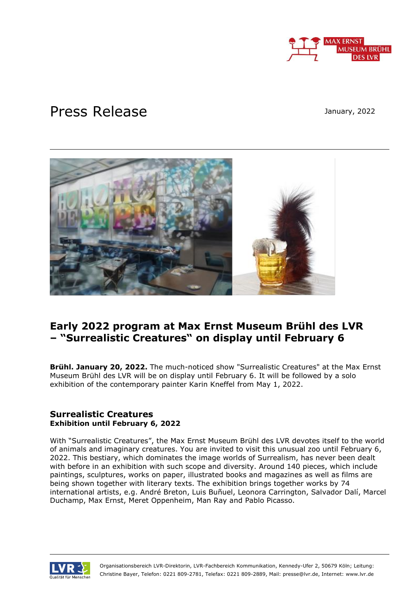

# Press Release

January, 2022



# **Early 2022 program at Max Ernst Museum Brühl des LVR – "Surrealistic Creatures" on display until February 6**

**Brühl. January 20, 2022.** The much-noticed show "Surrealistic Creatures" at the Max Ernst Museum Brühl des LVR will be on display until February 6. It will be followed by a solo exhibition of the contemporary painter Karin Kneffel from May 1, 2022.

## **Surrealistic Creatures Exhibition until February 6, 2022**

With "Surrealistic Creatures", the Max Ernst Museum Brühl des LVR devotes itself to the world of animals and imaginary creatures. You are invited to visit this unusual zoo until February 6, 2022. This bestiary, which dominates the image worlds of Surrealism, has never been dealt with before in an exhibition with such scope and diversity. Around 140 pieces, which include paintings, sculptures, works on paper, illustrated books and magazines as well as films are being shown together with literary texts. The exhibition brings together works by 74 international artists, e.g. André Breton, Luis Buñuel, Leonora Carrington, Salvador Dalí, Marcel Duchamp, Max Ernst, Meret Oppenheim, Man Ray and Pablo Picasso.